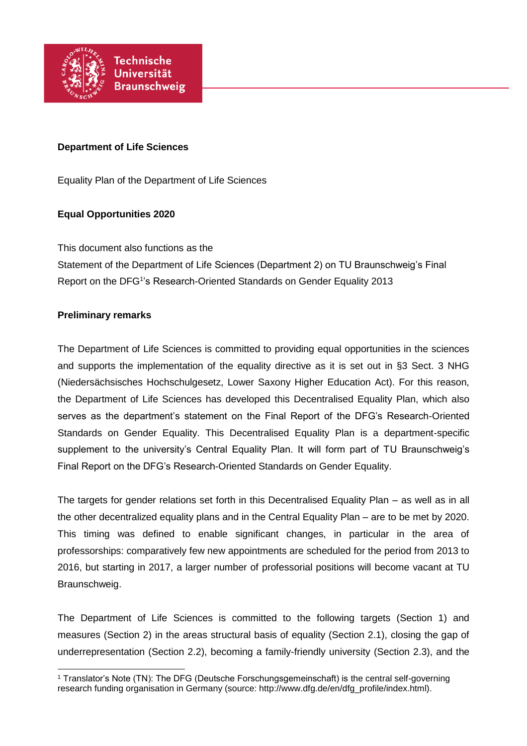

### **Department of Life Sciences**

Equality Plan of the Department of Life Sciences

## **Equal Opportunities 2020**

This document also functions as the

Statement of the Department of Life Sciences (Department 2) on TU Braunschweig's Final Report on the DFG<sup>1</sup>'s Research-Oriented Standards on Gender Equality 2013

### **Preliminary remarks**

The Department of Life Sciences is committed to providing equal opportunities in the sciences and supports the implementation of the equality directive as it is set out in §3 Sect. 3 NHG (Niedersächsisches Hochschulgesetz, Lower Saxony Higher Education Act). For this reason, the Department of Life Sciences has developed this Decentralised Equality Plan, which also serves as the department's statement on the Final Report of the DFG's Research-Oriented Standards on Gender Equality. This Decentralised Equality Plan is a department-specific supplement to the university's Central Equality Plan. It will form part of TU Braunschweig's Final Report on the DFG's Research-Oriented Standards on Gender Equality.

The targets for gender relations set forth in this Decentralised Equality Plan – as well as in all the other decentralized equality plans and in the Central Equality Plan – are to be met by 2020. This timing was defined to enable significant changes, in particular in the area of professorships: comparatively few new appointments are scheduled for the period from 2013 to 2016, but starting in 2017, a larger number of professorial positions will become vacant at TU Braunschweig.

The Department of Life Sciences is committed to the following targets (Section 1) and measures (Section 2) in the areas structural basis of equality (Section 2.1), closing the gap of underrepresentation (Section 2.2), becoming a family-friendly university (Section 2.3), and the

 <sup>1</sup> Translator's Note (TN): The DFG (Deutsche Forschungsgemeinschaft) is the central self-governing research funding organisation in Germany (source: http://www.dfg.de/en/dfg\_profile/index.html).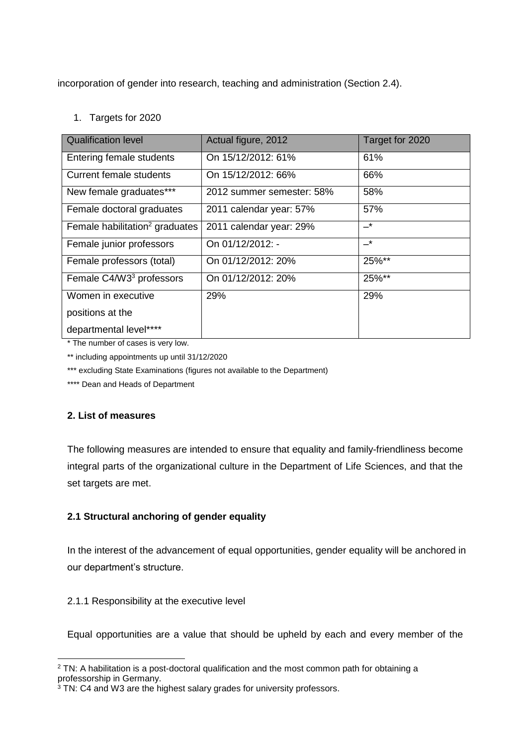incorporation of gender into research, teaching and administration (Section 2.4).

# 1. Targets for 2020

| <b>Qualification level</b>                 | Actual figure, 2012       | Target for 2020 |
|--------------------------------------------|---------------------------|-----------------|
| Entering female students                   | On 15/12/2012: 61%        | 61%             |
| Current female students                    | On 15/12/2012: 66%        | 66%             |
| New female graduates***                    | 2012 summer semester: 58% | 58%             |
| Female doctoral graduates                  | 2011 calendar year: 57%   | 57%             |
| Female habilitation <sup>2</sup> graduates | 2011 calendar year: 29%   | $-^{\star}$     |
| Female junior professors                   | On 01/12/2012: -          | $-^{\star}$     |
| Female professors (total)                  | On 01/12/2012: 20%        | 25%**           |
| Female C4/W3 <sup>3</sup> professors       | On 01/12/2012: 20%        | 25%**           |
| Women in executive                         | 29%                       | 29%             |
| positions at the                           |                           |                 |
| departmental level****                     |                           |                 |

\* The number of cases is very low.

\*\* including appointments up until 31/12/2020

\*\*\* excluding State Examinations (figures not available to the Department)

\*\*\*\* Dean and Heads of Department

## **2. List of measures**

The following measures are intended to ensure that equality and family-friendliness become integral parts of the organizational culture in the Department of Life Sciences, and that the set targets are met.

# **2.1 Structural anchoring of gender equality**

In the interest of the advancement of equal opportunities, gender equality will be anchored in our department's structure.

## 2.1.1 Responsibility at the executive level

Equal opportunities are a value that should be upheld by each and every member of the

 $\overline{a}$ <sup>2</sup> TN: A habilitation is a post-doctoral qualification and the most common path for obtaining a professorship in Germany.

 $3$  TN: C4 and W3 are the highest salary grades for university professors.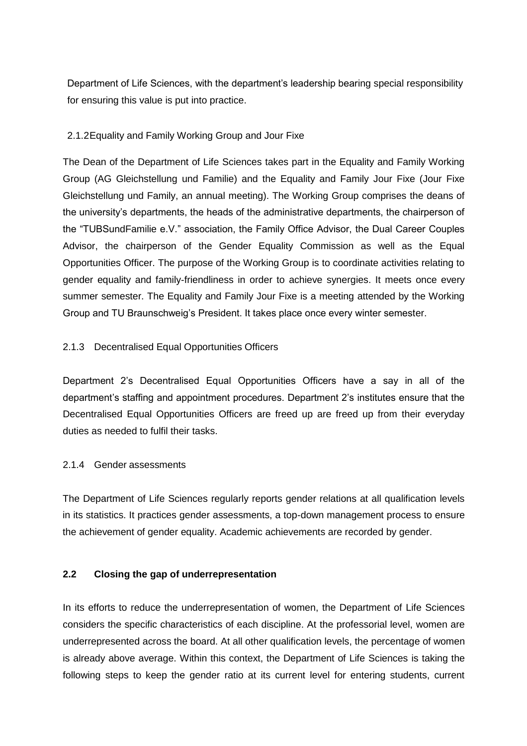Department of Life Sciences, with the department's leadership bearing special responsibility for ensuring this value is put into practice.

#### 2.1.2Equality and Family Working Group and Jour Fixe

The Dean of the Department of Life Sciences takes part in the Equality and Family Working Group (AG Gleichstellung und Familie) and the Equality and Family Jour Fixe (Jour Fixe Gleichstellung und Family, an annual meeting). The Working Group comprises the deans of the university's departments, the heads of the administrative departments, the chairperson of the "TUBSundFamilie e.V." association, the Family Office Advisor, the Dual Career Couples Advisor, the chairperson of the Gender Equality Commission as well as the Equal Opportunities Officer. The purpose of the Working Group is to coordinate activities relating to gender equality and family-friendliness in order to achieve synergies. It meets once every summer semester. The Equality and Family Jour Fixe is a meeting attended by the Working Group and TU Braunschweig's President. It takes place once every winter semester.

### 2.1.3 Decentralised Equal Opportunities Officers

Department 2's Decentralised Equal Opportunities Officers have a say in all of the department's staffing and appointment procedures. Department 2's institutes ensure that the Decentralised Equal Opportunities Officers are freed up are freed up from their everyday duties as needed to fulfil their tasks.

#### 2.1.4 Gender assessments

The Department of Life Sciences regularly reports gender relations at all qualification levels in its statistics. It practices gender assessments, a top-down management process to ensure the achievement of gender equality. Academic achievements are recorded by gender.

#### **2.2 Closing the gap of underrepresentation**

In its efforts to reduce the underrepresentation of women, the Department of Life Sciences considers the specific characteristics of each discipline. At the professorial level, women are underrepresented across the board. At all other qualification levels, the percentage of women is already above average. Within this context, the Department of Life Sciences is taking the following steps to keep the gender ratio at its current level for entering students, current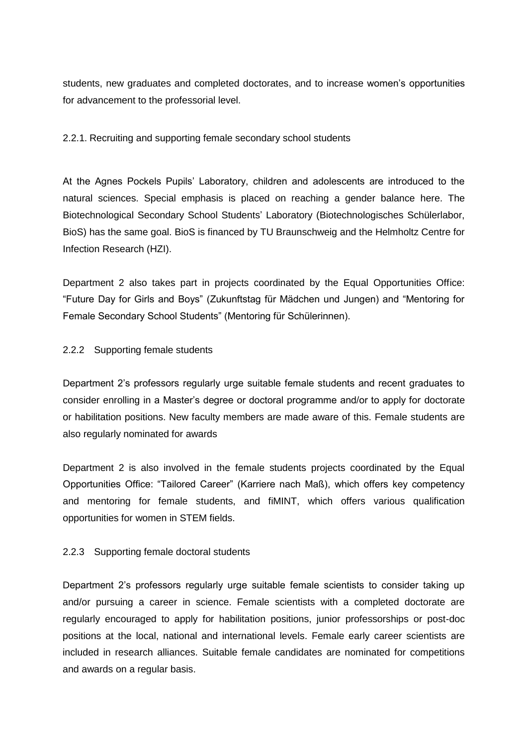students, new graduates and completed doctorates, and to increase women's opportunities for advancement to the professorial level.

### 2.2.1. Recruiting and supporting female secondary school students

At the Agnes Pockels Pupils' Laboratory, children and adolescents are introduced to the natural sciences. Special emphasis is placed on reaching a gender balance here. The Biotechnological Secondary School Students' Laboratory (Biotechnologisches Schülerlabor, BioS) has the same goal. BioS is financed by TU Braunschweig and the Helmholtz Centre for Infection Research (HZI).

Department 2 also takes part in projects coordinated by the Equal Opportunities Office: "Future Day for Girls and Boys" (Zukunftstag für Mädchen und Jungen) and "Mentoring for Female Secondary School Students" (Mentoring für Schülerinnen).

### 2.2.2 Supporting female students

Department 2's professors regularly urge suitable female students and recent graduates to consider enrolling in a Master's degree or doctoral programme and/or to apply for doctorate or habilitation positions. New faculty members are made aware of this. Female students are also regularly nominated for awards

Department 2 is also involved in the female students projects coordinated by the Equal Opportunities Office: "Tailored Career" (Karriere nach Maß), which offers key competency and mentoring for female students, and fiMINT, which offers various qualification opportunities for women in STEM fields.

#### 2.2.3 Supporting female doctoral students

Department 2's professors regularly urge suitable female scientists to consider taking up and/or pursuing a career in science. Female scientists with a completed doctorate are regularly encouraged to apply for habilitation positions, junior professorships or post-doc positions at the local, national and international levels. Female early career scientists are included in research alliances. Suitable female candidates are nominated for competitions and awards on a regular basis.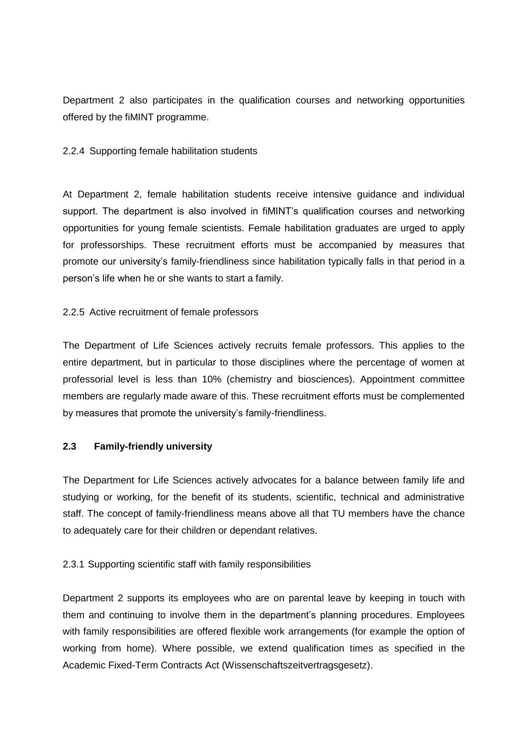Department 2 also participates in the qualification courses and networking opportunities offered by the fiMINT programme.

#### 2.2.4 Supporting female habilitation students

At Department 2, female habilitation students receive intensive guidance and individual support. The department is also involved in fiMINT's qualification courses and networking opportunities for young female scientists. Female habilitation graduates are urged to apply for professorships. These recruitment efforts must be accompanied by measures that promote our university's family-friendliness since habilitation typically falls in that period in a person's life when he or she wants to start a family.

### 2.2.5 Active recruitment of female professors

The Department of Life Sciences actively recruits female professors. This applies to the entire department, but in particular to those disciplines where the percentage of women at professorial level is less than 10% (chemistry and biosciences). Appointment committee members are regularly made aware of this. These recruitment efforts must be complemented by measures that promote the university's family-friendliness.

## **2.3 Family-friendly university**

The Department for Life Sciences actively advocates for a balance between family life and studying or working, for the benefit of its students, scientific, technical and administrative staff. The concept of family-friendliness means above all that TU members have the chance to adequately care for their children or dependant relatives.

## 2.3.1 Supporting scientific staff with family responsibilities

Department 2 supports its employees who are on parental leave by keeping in touch with them and continuing to involve them in the department's planning procedures. Employees with family responsibilities are offered flexible work arrangements (for example the option of working from home). Where possible, we extend qualification times as specified in the Academic Fixed-Term Contracts Act (Wissenschaftszeitvertragsgesetz).